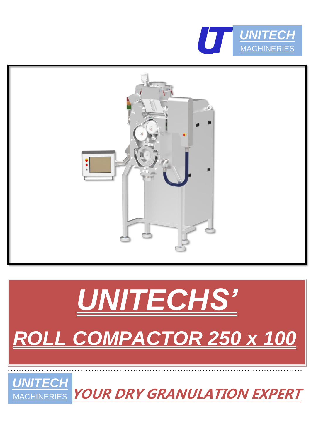



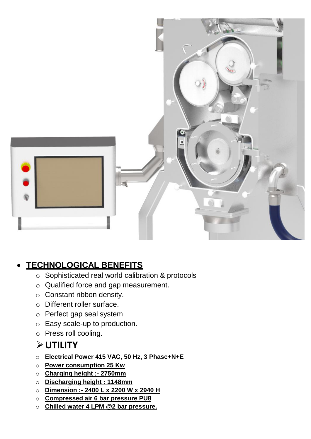

### • **TECHNOLOGICAL BENEFITS**

- o Sophisticated real world calibration & protocols
- o Qualified force and gap measurement.
- o Constant ribbon density.
- o Different roller surface.
- o Perfect gap seal system
- o Easy scale-up to production.
- o Press roll cooling.

## ➢**UTILITY**

- o **Electrical Power 415 VAC, 50 Hz, 3 Phase+N+E**
- o **Power consumption 25 Kw**
- o **Charging height :- 2750mm**
- o **Discharging height : 1148mm**
- o **Dimension :- 2400 L x 2200 W x 2940 H**
- o **Compressed air 6 bar pressure PU8**
- o **Chilled water 4 LPM @2 bar pressure.**